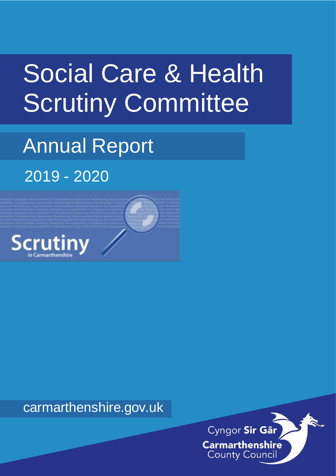# Social Care & Health Scrutiny Committee

# Annual Report 2019 - 2020



carmarthenshire.gov.uk

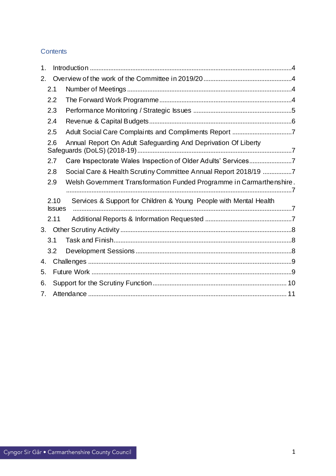# **Contents**

| 1. |                       |                                                                      |  |  |  |
|----|-----------------------|----------------------------------------------------------------------|--|--|--|
| 2. |                       |                                                                      |  |  |  |
|    | 2.1                   |                                                                      |  |  |  |
|    | 2.2                   |                                                                      |  |  |  |
|    | 2.3                   |                                                                      |  |  |  |
|    | 2.4                   |                                                                      |  |  |  |
|    | 2.5                   |                                                                      |  |  |  |
|    | 2.6                   | Annual Report On Adult Safeguarding And Deprivation Of Liberty       |  |  |  |
|    | 2.7                   | Care Inspectorate Wales Inspection of Older Adults' Services7        |  |  |  |
|    | 2.8                   | Social Care & Health Scrutiny Committee Annual Report 2018/19 7      |  |  |  |
|    | 2.9                   | Welsh Government Transformation Funded Programme in Carmarthenshire. |  |  |  |
|    | 2.10<br><b>Issues</b> | Services & Support for Children & Young People with Mental Health    |  |  |  |
|    | 2.11                  |                                                                      |  |  |  |
| 3. |                       |                                                                      |  |  |  |
|    | 3.1                   |                                                                      |  |  |  |
|    | 3.2                   |                                                                      |  |  |  |
| 4. |                       |                                                                      |  |  |  |
| 5. |                       |                                                                      |  |  |  |
| 6. |                       |                                                                      |  |  |  |
| 7. |                       |                                                                      |  |  |  |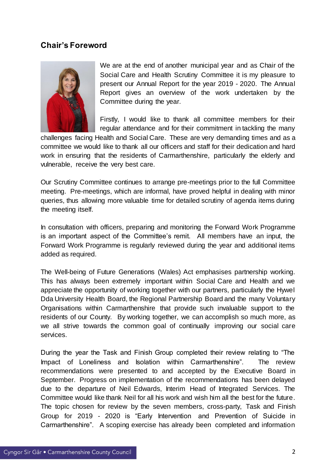# **Chair's Foreword**



We are at the end of another municipal year and as Chair of the Social Care and Health Scrutiny Committee it is my pleasure to present our Annual Report for the year 2019 - 2020. The Annual Report gives an overview of the work undertaken by the Committee during the year.

Firstly, I would like to thank all committee members for their regular attendance and for their commitment in tackling the many

challenges facing Health and Social Care. These are very demanding times and as a committee we would like to thank all our officers and staff for their dedication and hard work in ensuring that the residents of Carmarthenshire, particularly the elderly and vulnerable, receive the very best care.

Our Scrutiny Committee continues to arrange pre-meetings prior to the full Committee meeting. Pre-meetings, which are informal, have proved helpful in dealing with minor queries, thus allowing more valuable time for detailed scrutiny of agenda items during the meeting itself.

In consultation with officers, preparing and monitoring the Forward Work Programme is an important aspect of the Committee's remit. All members have an input, the Forward Work Programme is regularly reviewed during the year and additional items added as required.

The Well-being of Future Generations (Wales) Act emphasises partnership working. This has always been extremely important within Social Care and Health and we appreciate the opportunity of working together with our partners, particularly the Hywel Dda University Health Board, the Regional Partnership Board and the many Voluntary Organisations within Carmarthenshire that provide such invaluable support to the residents of our County. By working together, we can accomplish so much more, as we all strive towards the common goal of continually improving our social care services.

During the year the Task and Finish Group completed their review relating to "The Impact of Loneliness and Isolation within Carmarthenshire". The review recommendations were presented to and accepted by the Executive Board in September. Progress on implementation of the recommendations has been delayed due to the departure of Neil Edwards, Interim Head of Integrated Services. The Committee would like thank Neil for all his work and wish him all the best for the future. The topic chosen for review by the seven members, cross-party, Task and Finish Group for 2019 - 2020 is "Early Intervention and Prevention of Suicide in Carmarthenshire". A scoping exercise has already been completed and information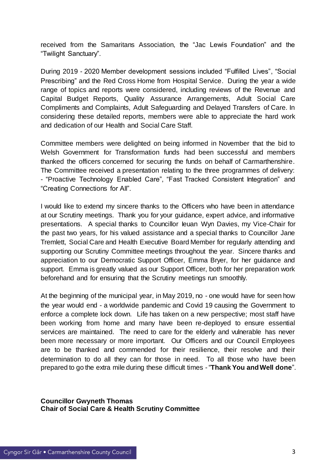received from the Samaritans Association, the "Jac Lewis Foundation" and the "Twilight Sanctuary".

During 2019 - 2020 Member development sessions included "Fulfilled Lives", "Social Prescribing" and the Red Cross Home from Hospital Service. During the year a wide range of topics and reports were considered, including reviews of the Revenue and Capital Budget Reports, Quality Assurance Arrangements, Adult Social Care Compliments and Complaints, Adult Safeguarding and Delayed Transfers of Care. In considering these detailed reports, members were able to appreciate the hard work and dedication of our Health and Social Care Staff.

Committee members were delighted on being informed in November that the bid to Welsh Government for Transformation funds had been successful and members thanked the officers concerned for securing the funds on behalf of Carmarthenshire. The Committee received a presentation relating to the three programmes of delivery: - "Proactive Technology Enabled Care", "Fast Tracked Consistent Integration" and "Creating Connections for All".

I would like to extend my sincere thanks to the Officers who have been in attendance at our Scrutiny meetings. Thank you for your guidance, expert advice, and informative presentations. A special thanks to Councillor Ieuan Wyn Davies, my Vice-Chair for the past two years, for his valued assistance and a special thanks to Councillor Jane Tremlett, Social Care and Health Executive Board Member for regularly attending and supporting our Scrutiny Committee meetings throughout the year. Sincere thanks and appreciation to our Democratic Support Officer, Emma Bryer, for her guidance and support. Emma is greatly valued as our Support Officer, both for her preparation work beforehand and for ensuring that the Scrutiny meetings run smoothly.

At the beginning of the municipal year, in May 2019, no - one would have for seen how the year would end - a worldwide pandemic and Covid 19 causing the Government to enforce a complete lock down. Life has taken on a new perspective; most staff have been working from home and many have been re-deployed to ensure essential services are maintained. The need to care for the elderly and vulnerable has never been more necessary or more important. Our Officers and our Council Employees are to be thanked and commended for their resilience, their resolve and their determination to do all they can for those in need. To all those who have been prepared to go the extra mile during these difficult times - "**Thank You and Well done**".

**Councillor Gwyneth Thomas Chair of Social Care & Health Scrutiny Committee**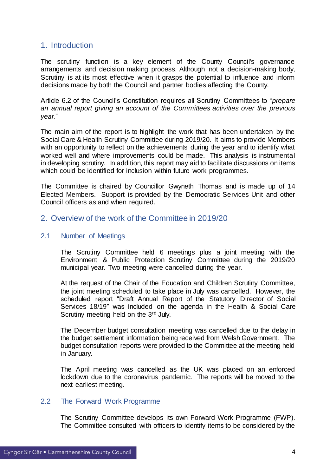# <span id="page-4-0"></span>1. Introduction

The scrutiny function is a key element of the County Council's governance arrangements and decision making process. Although not a decision-making body, Scrutiny is at its most effective when it grasps the potential to influence and inform decisions made by both the Council and partner bodies affecting the County.

Article 6.2 of the Council's Constitution requires all Scrutiny Committees to "*prepare an annual report giving an account of the Committees activities over the previous year*."

The main aim of the report is to highlight the work that has been undertaken by the Social Care & Health Scrutiny Committee during 2019/20. It aims to provide Members with an opportunity to reflect on the achievements during the year and to identify what worked well and where improvements could be made. This analysis is instrumental in developing scrutiny. In addition, this report may aid to facilitate discussions on items which could be identified for inclusion within future work programmes.

The Committee is chaired by Councillor Gwyneth Thomas and is made up of 14 Elected Members. Support is provided by the Democratic Services Unit and other Council officers as and when required.

# <span id="page-4-1"></span>2. Overview of the work of the Committee in 2019/20

#### <span id="page-4-2"></span>2.1 Number of Meetings

The Scrutiny Committee held 6 meetings plus a joint meeting with the Environment & Public Protection Scrutiny Committee during the 2019/20 municipal year. Two meeting were cancelled during the year.

At the request of the Chair of the Education and Children Scrutiny Committee, the joint meeting scheduled to take place in July was cancelled. However, the scheduled report "Draft Annual Report of the Statutory Director of Social Services 18/19" was included on the agenda in the Health & Social Care Scrutiny meeting held on the 3<sup>rd</sup> July.

The December budget consultation meeting was cancelled due to the delay in the budget settlement information being received from Welsh Government. The budget consultation reports were provided to the Committee at the meeting held in January.

The April meeting was cancelled as the UK was placed on an enforced lockdown due to the coronavirus pandemic. The reports will be moved to the next earliest meeting.

## <span id="page-4-3"></span>2.2 The Forward Work Programme

The Scrutiny Committee develops its own Forward Work Programme (FWP). The Committee consulted with officers to identify items to be considered by the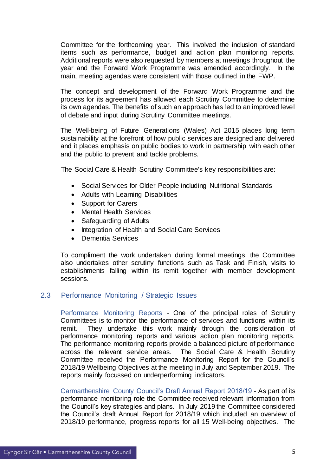Committee for the forthcoming year. This involved the inclusion of standard items such as performance, budget and action plan monitoring reports. Additional reports were also requested by members at meetings throughout the year and the Forward Work Programme was amended accordingly. In the main, meeting agendas were consistent with those outlined in the FWP.

The concept and development of the Forward Work Programme and the process for its agreement has allowed each Scrutiny Committee to determine its own agendas. The benefits of such an approach has led to an improved level of debate and input during Scrutiny Committee meetings.

The Well-being of Future Generations (Wales) Act 2015 places long term sustainability at the forefront of how public services are designed and delivered and it places emphasis on public bodies to work in partnership with each other and the public to prevent and tackle problems.

The Social Care & Health Scrutiny Committee's key responsibilities are:

- Social Services for Older People including Nutritional Standards
- Adults with Learning Disabilities
- Support for Carers
- Mental Health Services
- Safeguarding of Adults
- Integration of Health and Social Care Services
- Dementia Services

To compliment the work undertaken during formal meetings, the Committee also undertakes other scrutiny functions such as Task and Finish, visits to establishments falling within its remit together with member development sessions.

# <span id="page-5-0"></span>2.3 Performance Monitoring / Strategic Issues

Performance Monitoring Reports - One of the principal roles of Scrutiny Committees is to monitor the performance of services and functions within its remit. They undertake this work mainly through the consideration of performance monitoring reports and various action plan monitoring reports. The performance monitoring reports provide a balanced picture of performance across the relevant service areas. The Social Care & Health Scrutiny Committee received the Performance Monitoring Report for the Council's 2018/19 Wellbeing Objectives at the meeting in July and September 2019. The reports mainly focussed on underperforming indicators.

Carmarthenshire County Council's Draft Annual Report 2018/19 - As part of its performance monitoring role the Committee received relevant information from the Council's key strategies and plans. In July 2019 the Committee considered the Council's draft Annual Report for 2018/19 which included an overview of 2018/19 performance, progress reports for all 15 Well-being objectives. The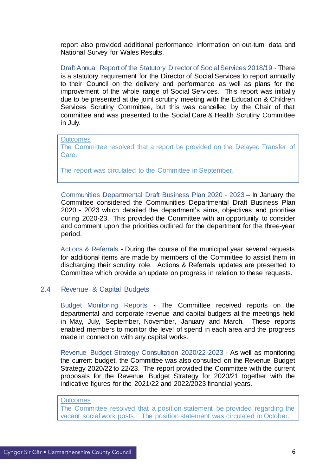report also provided additional performance information on out-turn data and National Survey for Wales Results.

Draft Annual Report of the Statutory Director of Social Services 2018/19 - There is a statutory requirement for the Director of Social Services to report annually to their Council on the delivery and performance as well as plans for the improvement of the whole range of Social Services. This report was initially due to be presented at the joint scrutiny meeting with the Education & Children Services Scrutiny Committee, but this was cancelled by the Chair of that committee and was presented to the Social Care & Health Scrutiny Committee in July.

#### **Outcomes** The Committee resolved that a report be provided on the Delayed Transfer of Care.

The report was circulated to the Committee in September.

Communities Departmental Draft Business Plan 2020 - 2023 – In January the Committee considered the Communities Departmental Draft Business Plan 2020 - 2023 which detailed the department's aims, objectives and priorities during 2020-23. This provided the Committee with an opportunity to consider and comment upon the priorities outlined for the department for the three-year period.

Actions & Referrals - During the course of the municipal year several requests for additional items are made by members of the Committee to assist them in discharging their scrutiny role. Actions & Referrals updates are presented to Committee which provide an update on progress in relation to these requests.

#### <span id="page-6-0"></span>2.4 Revenue & Capital Budgets

Budget Monitoring Reports **-** The Committee received reports on the departmental and corporate revenue and capital budgets at the meetings held in May, July, September, November, January and March. These reports enabled members to monitor the level of spend in each area and the progress made in connection with any capital works.

Revenue Budget Strategy Consultation 2020/22-2023 - As well as monitoring the current budget, the Committee was also consulted on the Revenue Budget Strategy 2020/22 to 22/23. The report provided the Committee with the current proposals for the Revenue Budget Strategy for 2020/21 together with the indicative figures for the 2021/22 and 2022/2023 financial years.

#### **Outcomes**

The Committee resolved that a position statement be provided regarding the vacant social work posts. The position statement was circulated in October.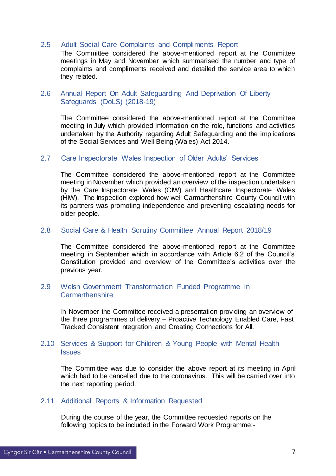#### <span id="page-7-0"></span>2.5 Adult Social Care Complaints and Compliments Report

The Committee considered the above-mentioned report at the Committee meetings in May and November which summarised the number and type of complaints and compliments received and detailed the service area to which they related.

#### <span id="page-7-1"></span>2.6 Annual Report On Adult Safeguarding And Deprivation Of Liberty Safeguards (DoLS) (2018-19)

The Committee considered the above-mentioned report at the Committee meeting in July which provided information on the role, functions and activities undertaken by the Authority regarding Adult Safeguarding and the implications of the Social Services and Well Being (Wales) Act 2014.

#### <span id="page-7-2"></span>2.7 Care Inspectorate Wales Inspection of Older Adults' Services

The Committee considered the above-mentioned report at the Committee meeting in November which provided an overview of the inspection undertaken by the Care Inspectorate Wales (CIW) and Healthcare Inspectorate Wales (HIW). The Inspection explored how well Carmarthenshire County Council with its partners was promoting independence and preventing escalating needs for older people.

#### <span id="page-7-3"></span>2.8 Social Care & Health Scrutiny Committee Annual Report 2018/19

The Committee considered the above-mentioned report at the Committee meeting in September which in accordance with Article 6.2 of the Council's Constitution provided and overview of the Committee's activities over the previous year.

#### <span id="page-7-4"></span>2.9 Welsh Government Transformation Funded Programme in **Carmarthenshire**

In November the Committee received a presentation providing an overview of the three programmes of delivery – Proactive Technology Enabled Care, Fast Tracked Consistent Integration and Creating Connections for All.

#### <span id="page-7-5"></span>2.10 Services & Support for Children & Young People with Mental Health **Issues**

The Committee was due to consider the above report at its meeting in April which had to be cancelled due to the coronavirus. This will be carried over into the next reporting period.

#### <span id="page-7-6"></span>2.11 Additional Reports & Information Requested

During the course of the year, the Committee requested reports on the following topics to be included in the Forward Work Programme:-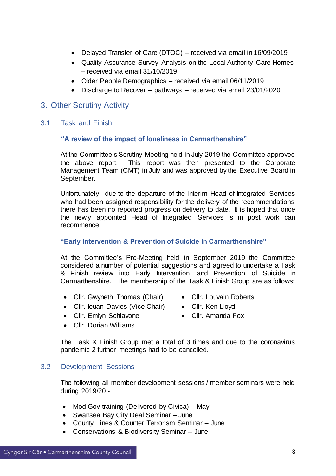- Delayed Transfer of Care (DTOC) received via email in 16/09/2019
- Quality Assurance Survey Analysis on the Local Authority Care Homes – received via email 31/10/2019
- Older People Demographics received via email 06/11/2019
- Discharge to Recover pathways received via email 23/01/2020

# <span id="page-8-0"></span>3. Other Scrutiny Activity

#### <span id="page-8-1"></span>3.1 Task and Finish

#### **"A review of the impact of loneliness in Carmarthenshire"**

At the Committee's Scrutiny Meeting held in July 2019 the Committee approved the above report. This report was then presented to the Corporate Management Team (CMT) in July and was approved by the Executive Board in September.

Unfortunately, due to the departure of the Interim Head of Integrated Services who had been assigned responsibility for the delivery of the recommendations there has been no reported progress on delivery to date. It is hoped that once the newly appointed Head of Integrated Services is in post work can recommence.

#### **"Early Intervention & Prevention of Suicide in Carmarthenshire"**

At the Committee's Pre-Meeting held in September 2019 the Committee considered a number of potential suggestions and agreed to undertake a Task & Finish review into Early Intervention and Prevention of Suicide in Carmarthenshire. The membership of the Task & Finish Group are as follows:

- Cllr. Gwyneth Thomas (Chair)
- Cllr. leuan Davies (Vice Chair) Cllr. Ken Lloyd
- Cllr. Emlyn Schiavone
- 
- Cllr. Dorian Williams
- Cllr. Amanda Fox

• Cllr. Louvain Roberts

The Task & Finish Group met a total of 3 times and due to the coronavirus pandemic 2 further meetings had to be cancelled.

#### <span id="page-8-2"></span>3.2 Development Sessions

The following all member development sessions / member seminars were held during 2019/20:-

- Mod.Gov training (Delivered by Civica) May
- Swansea Bay City Deal Seminar June
- County Lines & Counter Terrorism Seminar June
- Conservations & Biodiversity Seminar June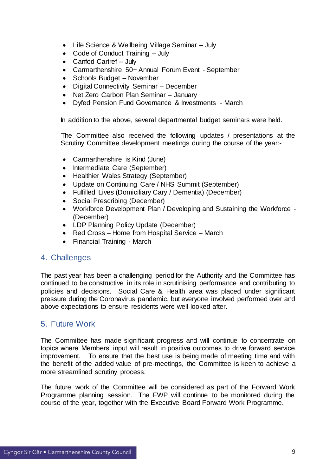- Life Science & Wellbeing Village Seminar July
- Code of Conduct Training July
- Canfod Cartref July
- Carmarthenshire 50+ Annual Forum Event September
- Schools Budget November
- Digital Connectivity Seminar December
- Net Zero Carbon Plan Seminar January
- Dyfed Pension Fund Governance & Investments March

In addition to the above, several departmental budget seminars were held.

The Committee also received the following updates / presentations at the Scrutiny Committee development meetings during the course of the year:-

- Carmarthenshire is Kind (June)
- Intermediate Care (September)
- Healthier Wales Strategy (September)
- Update on Continuing Care / NHS Summit (September)
- Fulfilled Lives (Domiciliary Cary / Dementia) (December)
- Social Prescribing (December)
- Workforce Development Plan / Developing and Sustaining the Workforce (December)
- LDP Planning Policy Update (December)
- Red Cross Home from Hospital Service March
- Financial Training March

# <span id="page-9-0"></span>4. Challenges

The past year has been a challenging period for the Authority and the Committee has continued to be constructive in its role in scrutinising performance and contributing to policies and decisions. Social Care & Health area was placed under significant pressure during the Coronavirus pandemic, but everyone involved performed over and above expectations to ensure residents were well looked after.

# <span id="page-9-1"></span>5. Future Work

The Committee has made significant progress and will continue to concentrate on topics where Members' input will result in positive outcomes to drive forward service improvement. To ensure that the best use is being made of meeting time and with the benefit of the added value of pre-meetings, the Committee is keen to achieve a more streamlined scrutiny process.

The future work of the Committee will be considered as part of the Forward Work Programme planning session. The FWP will continue to be monitored during the course of the year, together with the Executive Board Forward Work Programme.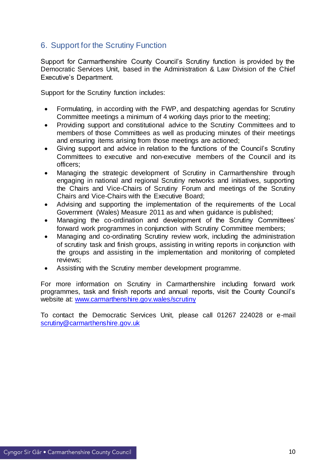# <span id="page-10-0"></span>6. Support for the Scrutiny Function

Support for Carmarthenshire County Council's Scrutiny function is provided by the Democratic Services Unit, based in the Administration & Law Division of the Chief Executive's Department.

Support for the Scrutiny function includes:

- Formulating, in according with the FWP, and despatching agendas for Scrutiny Committee meetings a minimum of 4 working days prior to the meeting;
- Providing support and constitutional advice to the Scrutiny Committees and to members of those Committees as well as producing minutes of their meetings and ensuring items arising from those meetings are actioned;
- Giving support and advice in relation to the functions of the Council's Scrutiny Committees to executive and non-executive members of the Council and its officers;
- Managing the strategic development of Scrutiny in Carmarthenshire through engaging in national and regional Scrutiny networks and initiatives, supporting the Chairs and Vice-Chairs of Scrutiny Forum and meetings of the Scrutiny Chairs and Vice-Chairs with the Executive Board;
- Advising and supporting the implementation of the requirements of the Local Government (Wales) Measure 2011 as and when guidance is published;
- Managing the co-ordination and development of the Scrutiny Committees' forward work programmes in conjunction with Scrutiny Committee members;
- Managing and co-ordinating Scrutiny review work, including the administration of scrutiny task and finish groups, assisting in writing reports in conjunction with the groups and assisting in the implementation and monitoring of completed reviews;
- Assisting with the Scrutiny member development programme.

For more information on Scrutiny in Carmarthenshire including forward work programmes, task and finish reports and annual reports, visit the County Council's website at: [www.carmarthenshire.gov.wales/scrutiny](http://www.carmarthenshire.gov.wales/scrutiny)

To contact the Democratic Services Unit, please call 01267 224028 or e-mail [scrutiny@carmarthenshire.gov.uk](mailto:scrutiny@carmarthenshire.gov.uk)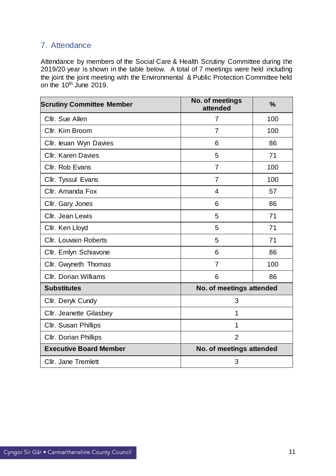# <span id="page-11-0"></span>7. Attendance

Attendance by members of the Social Care & Health Scrutiny Committee during the 2019/20 year is shown in the table below. A total of 7 meetings were held including the joint the joint meeting with the Environmental & Public Protection Committee held on the 10<sup>th</sup> June 2019.

| <b>Scrutiny Committee Member</b> | <b>No. of meetings</b><br>attended | $\frac{9}{6}$ |  |
|----------------------------------|------------------------------------|---------------|--|
| Cllr. Sue Allen                  | $\overline{7}$                     | 100           |  |
| Cllr. Kim Broom                  | 7                                  | 100           |  |
| Cllr. leuan Wyn Davies           | 6                                  | 86            |  |
| <b>Cllr. Karen Davies</b>        | 5                                  | 71            |  |
| Cllr. Rob Evans                  | $\overline{7}$                     | 100           |  |
| Cllr. Tyssul Evans               | $\overline{7}$                     | 100           |  |
| Cllr. Amanda Fox                 | $\overline{4}$                     | 57            |  |
| Cllr. Gary Jones                 | 6                                  | 86            |  |
| Cllr. Jean Lewis                 | 5                                  | 71            |  |
| Cllr. Ken Lloyd                  | 5                                  | 71            |  |
| <b>Cllr. Louvain Roberts</b>     | 5                                  | 71            |  |
| Cllr. Emlyn Schiavone            | 6                                  | 86            |  |
| Cllr. Gwyneth Thomas             | $\overline{7}$                     | 100           |  |
| <b>Cllr. Dorian Williams</b>     | 6                                  | 86            |  |
| <b>Substitutes</b>               | No. of meetings attended           |               |  |
| Cllr. Deryk Cundy                | 3                                  |               |  |
| Cllr. Jeanette Gilasbey          | 1                                  |               |  |
| Cllr. Susan Phillips             | 1                                  |               |  |
| <b>Cllr. Dorian Phillips</b>     | $\overline{2}$                     |               |  |
| <b>Executive Board Member</b>    | No. of meetings attended           |               |  |
| Cllr. Jane Tremlett              | 3                                  |               |  |